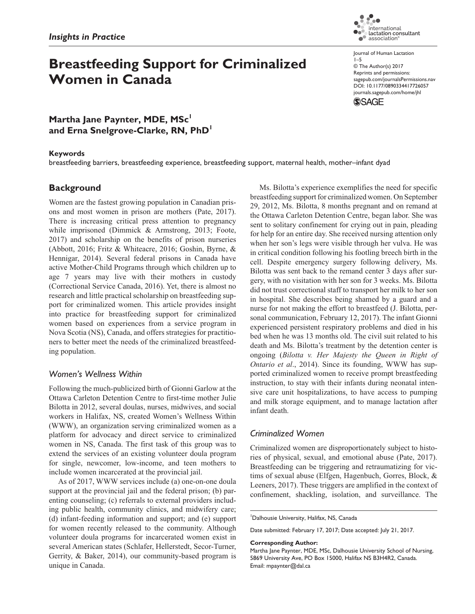# **Breastfeeding Support for Criminalized Women in Canada**

iternational International<br>Lactation consultant<br>association®  $\bullet$ Journal of Human Lactation 1–5 © The Author(s) 2017

Reprints and permissions: [sagepub.com/journalsPermissions.nav](https://us.sagepub.com/en-us/journals-permissions) https://doi.org/10.1177/0890334417726057 DOI: 10.1177/0890334417726057 [journals.sagepub.com/home/jhl](https://journals.sagepub.com/home/jhl) **SSAGE** 

**Martha Jane Paynter, MDE, MSc<sup>1</sup> and Erna Snelgrove-Clarke, RN, PhD<sup>1</sup>**

### **Keywords**

breastfeeding barriers, breastfeeding experience, breastfeeding support, maternal health, mother–infant dyad

# **Background**

Women are the fastest growing population in Canadian prisons and most women in prison are mothers (Pate, 2017). There is increasing critical press attention to pregnancy while imprisoned (Dimmick & Armstrong, 2013; Foote, 2017) and scholarship on the benefits of prison nurseries (Abbott, 2016; Fritz & Whiteacre, 2016; Goshin, Byrne, & Hennigar, 2014). Several federal prisons in Canada have active Mother-Child Programs through which children up to age 7 years may live with their mothers in custody (Correctional Service Canada, 2016). Yet, there is almost no research and little practical scholarship on breastfeeding support for criminalized women. This article provides insight into practice for breastfeeding support for criminalized women based on experiences from a service program in Nova Scotia (NS), Canada, and offers strategies for practitioners to better meet the needs of the criminalized breastfeeding population.

## *Women's Wellness Within*

Following the much-publicized birth of Gionni Garlow at the Ottawa Carleton Detention Centre to first-time mother Julie Bilotta in 2012, several doulas, nurses, midwives, and social workers in Halifax, NS, created Women's Wellness Within (WWW), an organization serving criminalized women as a platform for advocacy and direct service to criminalized women in NS, Canada. The first task of this group was to extend the services of an existing volunteer doula program for single, newcomer, low-income, and teen mothers to include women incarcerated at the provincial jail.

As of 2017, WWW services include (a) one-on-one doula support at the provincial jail and the federal prison; (b) parenting counseling; (c) referrals to external providers including public health, community clinics, and midwifery care; (d) infant-feeding information and support; and (e) support for women recently released to the community. Although volunteer doula programs for incarcerated women exist in several American states (Schlafer, Hellerstedt, Secor-Turner, Gerrity, & Baker, 2014), our community-based program is unique in Canada.

Ms. Bilotta's experience exemplifies the need for specific breastfeeding support for criminalized women. On September 29, 2012, Ms. Bilotta, 8 months pregnant and on remand at the Ottawa Carleton Detention Centre, began labor. She was sent to solitary confinement for crying out in pain, pleading for help for an entire day. She received nursing attention only when her son's legs were visible through her vulva. He was in critical condition following his footling breech birth in the cell. Despite emergency surgery following delivery, Ms. Bilotta was sent back to the remand center 3 days after surgery, with no visitation with her son for 3 weeks. Ms. Bilotta did not trust correctional staff to transport her milk to her son in hospital. She describes being shamed by a guard and a nurse for not making the effort to breastfeed (J. Bilotta, personal communication, February 12, 2017). The infant Gionni experienced persistent respiratory problems and died in his bed when he was 13 months old. The civil suit related to his death and Ms. Bilotta's treatment by the detention center is ongoing (*Bilotta v. Her Majesty the Queen in Right of Ontario et al*., 2014). Since its founding, WWW has supported criminalized women to receive prompt breastfeeding instruction, to stay with their infants during neonatal intensive care unit hospitalizations, to have access to pumping and milk storage equipment, and to manage lactation after infant death.

# *Criminalized Women*

Criminalized women are disproportionately subject to histories of physical, sexual, and emotional abuse (Pate, 2017). Breastfeeding can be triggering and retraumatizing for victims of sexual abuse (Elfgen, Hagenbuch, Gorres, Block, & Leeners, 2017). These triggers are amplified in the context of confinement, shackling, isolation, and surveillance. The

1 Dalhousie University, Halifax, NS, Canada

Date submitted: February 17, 2017; Date accepted: July 21, 2017.

#### **Corresponding Author:**

Martha Jane Paynter, MDE, MSc, Dalhousie University School of Nursing, 5869 University Ave, PO Box 15000, Halifax NS B3H4R2, Canada. Email: [mpaynter@dal.ca](mailto:mpaynter@dal.ca)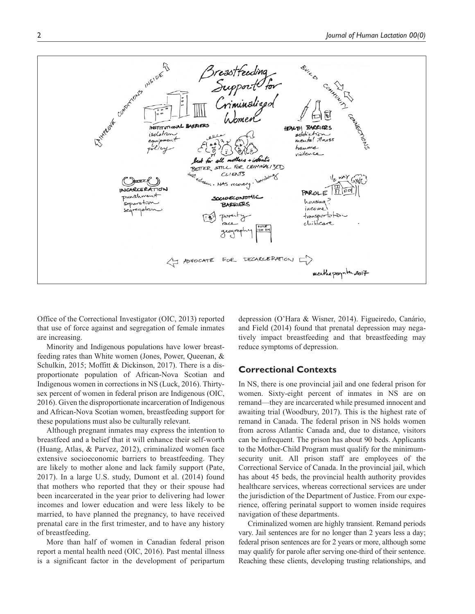

Office of the Correctional Investigator (OIC, 2013) reported that use of force against and segregation of female inmates are increasing.

Minority and Indigenous populations have lower breastfeeding rates than White women (Jones, Power, Queenan, & Schulkin, 2015; Moffitt & Dickinson, 2017). There is a disproportionate population of African-Nova Scotian and Indigenous women in corrections in NS (Luck, 2016). Thirtysex percent of women in federal prison are Indigenous (OIC, 2016). Given the disproportionate incarceration of Indigenous and African-Nova Scotian women, breastfeeding support for these populations must also be culturally relevant.

Although pregnant inmates may express the intention to breastfeed and a belief that it will enhance their self-worth (Huang, Atlas, & Parvez, 2012), criminalized women face extensive socioeconomic barriers to breastfeeding. They are likely to mother alone and lack family support (Pate, 2017). In a large U.S. study, Dumont et al. (2014) found that mothers who reported that they or their spouse had been incarcerated in the year prior to delivering had lower incomes and lower education and were less likely to be married, to have planned the pregnancy, to have received prenatal care in the first trimester, and to have any history of breastfeeding.

More than half of women in Canadian federal prison report a mental health need (OIC, 2016). Past mental illness is a significant factor in the development of peripartum depression (O'Hara & Wisner, 2014). Figueiredo, Canário, and Field (2014) found that prenatal depression may negatively impact breastfeeding and that breastfeeding may reduce symptoms of depression.

## **Correctional Contexts**

In NS, there is one provincial jail and one federal prison for women. Sixty-eight percent of inmates in NS are on remand—they are incarcerated while presumed innocent and awaiting trial (Woodbury, 2017). This is the highest rate of remand in Canada. The federal prison in NS holds women from across Atlantic Canada and, due to distance, visitors can be infrequent. The prison has about 90 beds. Applicants to the Mother-Child Program must qualify for the minimumsecurity unit. All prison staff are employees of the Correctional Service of Canada. In the provincial jail, which has about 45 beds, the provincial health authority provides healthcare services, whereas correctional services are under the jurisdiction of the Department of Justice. From our experience, offering perinatal support to women inside requires navigation of these departments.

Criminalized women are highly transient. Remand periods vary. Jail sentences are for no longer than 2 years less a day; federal prison sentences are for 2 years or more, although some may qualify for parole after serving one-third of their sentence. Reaching these clients, developing trusting relationships, and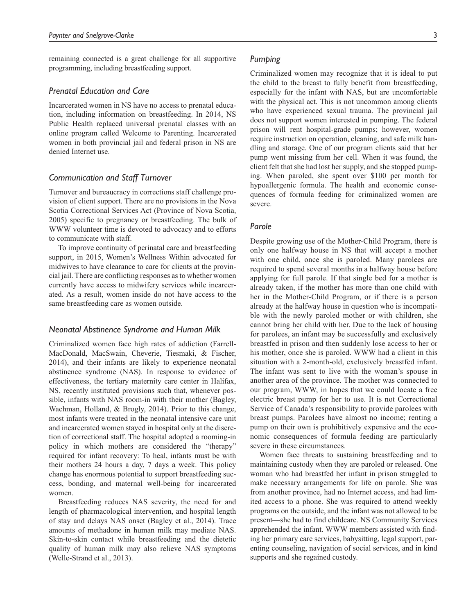remaining connected is a great challenge for all supportive programming, including breastfeeding support.

#### *Prenatal Education and Care*

Incarcerated women in NS have no access to prenatal education, including information on breastfeeding. In 2014, NS Public Health replaced universal prenatal classes with an online program called Welcome to Parenting. Incarcerated women in both provincial jail and federal prison in NS are denied Internet use.

## *Communication and Staff Turnover*

Turnover and bureaucracy in corrections staff challenge provision of client support. There are no provisions in the Nova Scotia Correctional Services Act (Province of Nova Scotia, 2005) specific to pregnancy or breastfeeding. The bulk of WWW volunteer time is devoted to advocacy and to efforts to communicate with staff.

To improve continuity of perinatal care and breastfeeding support, in 2015, Women's Wellness Within advocated for midwives to have clearance to care for clients at the provincial jail. There are conflicting responses as to whether women currently have access to midwifery services while incarcerated. As a result, women inside do not have access to the same breastfeeding care as women outside.

#### *Neonatal Abstinence Syndrome and Human Milk*

Criminalized women face high rates of addiction (Farrell-MacDonald, MacSwain, Cheverie, Tiesmaki, & Fischer, 2014), and their infants are likely to experience neonatal abstinence syndrome (NAS). In response to evidence of effectiveness, the tertiary maternity care center in Halifax, NS, recently instituted provisions such that, whenever possible, infants with NAS room-in with their mother (Bagley, Wachman, Holland, & Brogly, 2014). Prior to this change, most infants were treated in the neonatal intensive care unit and incarcerated women stayed in hospital only at the discretion of correctional staff. The hospital adopted a rooming-in policy in which mothers are considered the "therapy" required for infant recovery: To heal, infants must be with their mothers 24 hours a day, 7 days a week. This policy change has enormous potential to support breastfeeding success, bonding, and maternal well-being for incarcerated women.

Breastfeeding reduces NAS severity, the need for and length of pharmacological intervention, and hospital length of stay and delays NAS onset (Bagley et al., 2014). Trace amounts of methadone in human milk may mediate NAS. Skin-to-skin contact while breastfeeding and the dietetic quality of human milk may also relieve NAS symptoms (Welle-Strand et al., 2013).

Criminalized women may recognize that it is ideal to put the child to the breast to fully benefit from breastfeeding, especially for the infant with NAS, but are uncomfortable with the physical act. This is not uncommon among clients who have experienced sexual trauma. The provincial jail does not support women interested in pumping. The federal prison will rent hospital-grade pumps; however, women require instruction on operation, cleaning, and safe milk handling and storage. One of our program clients said that her pump went missing from her cell. When it was found, the client felt that she had lost her supply, and she stopped pumping. When paroled, she spent over \$100 per month for hypoallergenic formula. The health and economic consequences of formula feeding for criminalized women are severe.

#### *Parole*

Despite growing use of the Mother-Child Program, there is only one halfway house in NS that will accept a mother with one child, once she is paroled. Many parolees are required to spend several months in a halfway house before applying for full parole. If that single bed for a mother is already taken, if the mother has more than one child with her in the Mother-Child Program, or if there is a person already at the halfway house in question who is incompatible with the newly paroled mother or with children, she cannot bring her child with her. Due to the lack of housing for parolees, an infant may be successfully and exclusively breastfed in prison and then suddenly lose access to her or his mother, once she is paroled. WWW had a client in this situation with a 2-month-old, exclusively breastfed infant. The infant was sent to live with the woman's spouse in another area of the province. The mother was connected to our program, WWW, in hopes that we could locate a free electric breast pump for her to use. It is not Correctional Service of Canada's responsibility to provide parolees with breast pumps. Parolees have almost no income; renting a pump on their own is prohibitively expensive and the economic consequences of formula feeding are particularly severe in these circumstances.

Women face threats to sustaining breastfeeding and to maintaining custody when they are paroled or released. One woman who had breastfed her infant in prison struggled to make necessary arrangements for life on parole. She was from another province, had no Internet access, and had limited access to a phone. She was required to attend weekly programs on the outside, and the infant was not allowed to be present—she had to find childcare. NS Community Services apprehended the infant. WWW members assisted with finding her primary care services, babysitting, legal support, parenting counseling, navigation of social services, and in kind supports and she regained custody.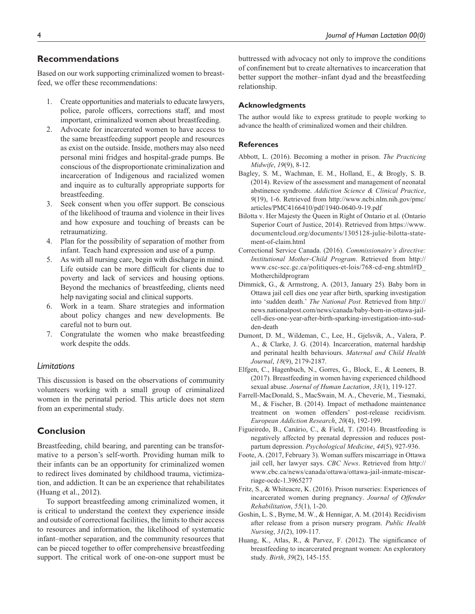## **Recommendations**

Based on our work supporting criminalized women to breastfeed, we offer these recommendations:

- 1. Create opportunities and materials to educate lawyers, police, parole officers, corrections staff, and most important, criminalized women about breastfeeding.
- 2. Advocate for incarcerated women to have access to the same breastfeeding support people and resources as exist on the outside. Inside, mothers may also need personal mini fridges and hospital-grade pumps. Be conscious of the disproportionate criminalization and incarceration of Indigenous and racialized women and inquire as to culturally appropriate supports for breastfeeding.
- 3. Seek consent when you offer support. Be conscious of the likelihood of trauma and violence in their lives and how exposure and touching of breasts can be retraumatizing.
- 4. Plan for the possibility of separation of mother from infant. Teach hand expression and use of a pump.
- 5. As with all nursing care, begin with discharge in mind. Life outside can be more difficult for clients due to poverty and lack of services and housing options. Beyond the mechanics of breastfeeding, clients need help navigating social and clinical supports.
- 6. Work in a team. Share strategies and information about policy changes and new developments. Be careful not to burn out.
- 7. Congratulate the women who make breastfeeding work despite the odds.

### *Limitations*

This discussion is based on the observations of community volunteers working with a small group of criminalized women in the perinatal period. This article does not stem from an experimental study.

# **Conclusion**

Breastfeeding, child bearing, and parenting can be transformative to a person's self-worth. Providing human milk to their infants can be an opportunity for criminalized women to redirect lives dominated by childhood trauma, victimization, and addiction. It can be an experience that rehabilitates (Huang et al., 2012).

To support breastfeeding among criminalized women, it is critical to understand the context they experience inside and outside of correctional facilities, the limits to their access to resources and information, the likelihood of systematic infant–mother separation, and the community resources that can be pieced together to offer comprehensive breastfeeding support. The critical work of one-on-one support must be

buttressed with advocacy not only to improve the conditions of confinement but to create alternatives to incarceration that better support the mother–infant dyad and the breastfeeding relationship.

#### **Acknowledgments**

The author would like to express gratitude to people working to advance the health of criminalized women and their children.

#### **References**

- Abbott, L. (2016). Becoming a mother in prison. *The Practicing Midwife*, *19*(9), 8-12.
- Bagley, S. M., Wachman, E. M., Holland, E., & Brogly, S. B. (2014). Review of the assessment and management of neonatal abstinence syndrome. *Addiction Science & Clinical Practice*, *9*(19), 1-6. Retrieved from [http://www.ncbi.nlm.nih.gov/pmc/](http://www.ncbi.nlm.nih.gov/pmc/articles/PMC4166410/pdf/1940-0640-9-19.pdf) [articles/PMC4166410/pdf/1940-0640-9-19.pdf](http://www.ncbi.nlm.nih.gov/pmc/articles/PMC4166410/pdf/1940-0640-9-19.pdf)
- Bilotta v. Her Majesty the Queen in Right of Ontario et al. (Ontario Superior Court of Justice, 2014). Retrieved from [https://www.](https://www.documentcloud.org/documents/1305128-julie-bilotta-statement-of-claim.html) [documentcloud.org/documents/1305128-julie-bilotta-state](https://www.documentcloud.org/documents/1305128-julie-bilotta-statement-of-claim.html)[ment-of-claim.html](https://www.documentcloud.org/documents/1305128-julie-bilotta-statement-of-claim.html)
- Correctional Service Canada. (2016). *Commissionaire's directive: Institutional Mother-Child Program*. Retrieved from [http://](http://www.csc-scc.gc.ca/politiques-et-lois/768-cd-eng.shtml#D_Motherchildprogram) [www.csc-scc.gc.ca/politiques-et-lois/768-cd-eng.shtml#D\\_](http://www.csc-scc.gc.ca/politiques-et-lois/768-cd-eng.shtml#D_Motherchildprogram) [Motherchildprogram](http://www.csc-scc.gc.ca/politiques-et-lois/768-cd-eng.shtml#D_Motherchildprogram)
- Dimmick, G., & Armstrong, A. (2013, January 25). Baby born in Ottawa jail cell dies one year after birth, sparking investigation into 'sudden death.' *The National Post*. Retrieved from [http://](http://news.nationalpost.com/news/canada/baby-born-in-ottawa-jail-cell-dies-one-year-after-birth-sparking-investigation-into-sudden-death) [news.nationalpost.com/news/canada/baby-born-in-ottawa-jail](http://news.nationalpost.com/news/canada/baby-born-in-ottawa-jail-cell-dies-one-year-after-birth-sparking-investigation-into-sudden-death)[cell-dies-one-year-after-birth-sparking-investigation-into-sud](http://news.nationalpost.com/news/canada/baby-born-in-ottawa-jail-cell-dies-one-year-after-birth-sparking-investigation-into-sudden-death)[den-death](http://news.nationalpost.com/news/canada/baby-born-in-ottawa-jail-cell-dies-one-year-after-birth-sparking-investigation-into-sudden-death)
- Dumont, D. M., Wildeman, C., Lee, H., Gjelsvik, A., Valera, P. A., & Clarke, J. G. (2014). Incarceration, maternal hardship and perinatal health behaviours. *Maternal and Child Health Journal*, *18*(9), 2179-2187.
- Elfgen, C., Hagenbuch, N., Gorres, G., Block, E., & Leeners, B. (2017). Breastfeeding in women having experienced childhood sexual abuse. *Journal of Human Lactation*, *33*(1), 119-127.
- Farrell-MacDonald, S., MacSwain, M. A., Cheverie, M., Tiesmaki, M., & Fischer, B. (2014). Impact of methadone maintenance treatment on women offenders' post-release recidivism. *European Addiction Research*, *20*(4), 192-199.
- Figueiredo, B., Canário, C., & Field, T. (2014). Breastfeeding is negatively affected by prenatal depression and reduces postpartum depression. *Psychological Medicine*, *44*(5), 927-936.
- Foote, A. (2017, February 3). Woman suffers miscarriage in Ottawa jail cell, her lawyer says. *CBC News*. Retrieved from [http://](http://www.cbc.ca/news/canada/ottawa/ottawa-jail-inmate-miscarriage-ocdc-1.3965277) [www.cbc.ca/news/canada/ottawa/ottawa-jail-inmate-miscar](http://www.cbc.ca/news/canada/ottawa/ottawa-jail-inmate-miscarriage-ocdc-1.3965277)[riage-ocdc-1.3965277](http://www.cbc.ca/news/canada/ottawa/ottawa-jail-inmate-miscarriage-ocdc-1.3965277)
- Fritz, S., & Whiteacre, K. (2016). Prison nurseries: Experiences of incarcerated women during pregnancy. *Journal of Offender Rehabilitation*, *55*(1), 1-20.
- Goshin, L. S., Byrne, M. W., & Hennigar, A. M. (2014). Recidivism after release from a prison nursery program. *Public Health Nursing*, *31*(2), 109-117.
- Huang, K., Atlas, R., & Parvez, F. (2012). The significance of breastfeeding to incarcerated pregnant women: An exploratory study. *Birth*, *39*(2), 145-155.